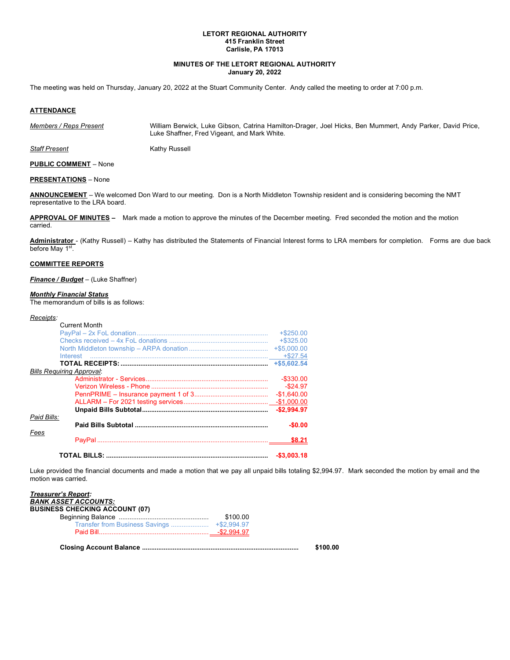# **LETORT REGIONAL AUTHORITY 415 Franklin Street Carlisle, PA 17013**

# **MINUTES OF THE LETORT REGIONAL AUTHORITY January 20, 2022**

The meeting was held on Thursday, January 20, 2022 at the Stuart Community Center. Andy called the meeting to order at 7:00 p.m*.*

# **ATTENDANCE**

*Members / Reps Present* William Berwick, Luke Gibson, Catrina Hamilton-Drager, Joel Hicks, Ben Mummert, Andy Parker, David Price, Luke Shaffner, Fred Vigeant, and Mark White.

**Staff Present** Kathy Russell

**PUBLIC COMMENT** – None

**PRESENTATIONS** – None

**ANNOUNCEMENT** – We welcomed Don Ward to our meeting. Don is a North Middleton Township resident and is considering becoming the NMT representative to the LRA board.

**APPROVAL OF MINUTES –** Mark made a motion to approve the minutes of the December meeting. Fred seconded the motion and the motion carried.

**Administrator** - (Kathy Russell) – Kathy has distributed the Statements of Financial Interest forms to LRA members for completion. Forms are due back before May 1<sup>st</sup>.

# **COMMITTEE REPORTS**

*Finance / Budget* – (Luke Shaffner)

#### *Monthly Financial Status*

The memorandum of bills is as follows:

#### *Receipts:*

| <b>Current Month</b>             |              |
|----------------------------------|--------------|
|                                  | $+$ \$250.00 |
|                                  | $+$ \$325.00 |
|                                  |              |
| Interest                         |              |
|                                  |              |
| <b>Bills Requiring Approval:</b> |              |
|                                  | $-$ \$330.00 |
|                                  | $-$ \$24.97  |
|                                  | $-$1,640.00$ |
|                                  |              |
|                                  | $-$2.994.97$ |
| Paid Bills:                      |              |
|                                  | $-$0.00$     |
| Fees                             |              |
|                                  | \$8.21       |
|                                  |              |
|                                  | $-$3,003.18$ |

Luke provided the financial documents and made a motion that we pay all unpaid bills totaling \$2,994.97. Mark seconded the motion by email and the motion was carried.

| <b>Treasurer's Report:</b>            |          |          |
|---------------------------------------|----------|----------|
| <b>BANK ASSET ACCOUNTS:</b>           |          |          |
| <b>BUSINESS CHECKING ACCOUNT (07)</b> |          |          |
|                                       | \$100.00 |          |
|                                       |          |          |
|                                       |          |          |
|                                       |          | \$100.00 |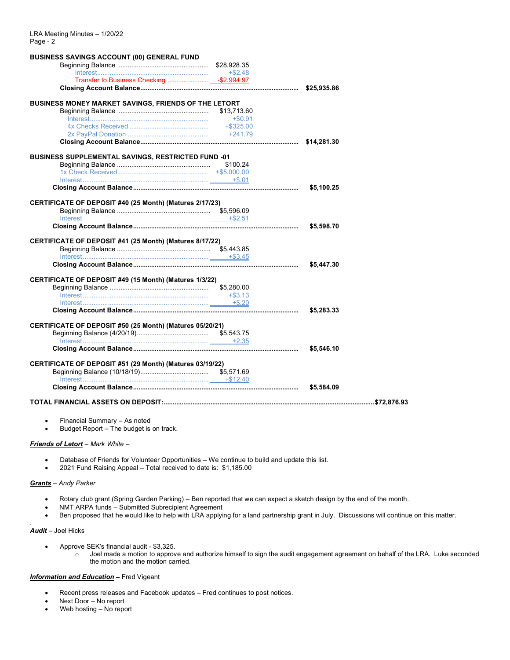| <b>BUSINESS SAVINGS ACCOUNT (00) GENERAL FUND</b>         |            |            |  |
|-----------------------------------------------------------|------------|------------|--|
|                                                           |            |            |  |
|                                                           |            |            |  |
|                                                           |            |            |  |
|                                                           |            |            |  |
| BUSINESS MONEY MARKET SAVINGS, FRIENDS OF THE LETORT      |            |            |  |
|                                                           |            |            |  |
|                                                           | $+\$0.91$  |            |  |
|                                                           |            |            |  |
|                                                           |            |            |  |
|                                                           |            |            |  |
|                                                           |            |            |  |
| <b>BUSINESS SUPPLEMENTAL SAVINGS, RESTRICTED FUND -01</b> |            |            |  |
|                                                           |            |            |  |
|                                                           |            |            |  |
|                                                           |            |            |  |
|                                                           |            | \$5,100.25 |  |
| CERTIFICATE OF DEPOSIT #40 (25 Month) (Matures 2/17/23)   |            |            |  |
|                                                           |            |            |  |
| Interest                                                  | $+ $2.51$  |            |  |
|                                                           |            | \$5,598.70 |  |
| CERTIFICATE OF DEPOSIT #41 (25 Month) (Matures 8/17/22)   |            | \$5,447.30 |  |
|                                                           |            |            |  |
| CERTIFICATE OF DEPOSIT #49 (15 Month) (Matures 1/3/22)    |            |            |  |
|                                                           | \$5,280.00 |            |  |
|                                                           |            |            |  |
|                                                           |            |            |  |
|                                                           |            | \$5,283.33 |  |
| CERTIFICATE OF DEPOSIT #50 (25 Month) (Matures 05/20/21)  |            |            |  |
|                                                           |            |            |  |
|                                                           |            |            |  |
|                                                           |            | \$5,546.10 |  |
|                                                           |            |            |  |
| CERTIFICATE OF DEPOSIT #51 (29 Month) (Matures 03/19/22)  |            |            |  |
|                                                           |            |            |  |
|                                                           |            |            |  |
|                                                           |            |            |  |
|                                                           |            |            |  |
|                                                           |            |            |  |

- Financial Summary As noted
- Budget Report The budget is on track.

# *Friends of Letort* – *Mark White* –

- Database of Friends for Volunteer Opportunities We continue to build and update this list.
- 2021 Fund Raising Appeal Total received to date is: \$1,185.00

### *Grants* – *Andy Parker*

- Rotary club grant (Spring Garden Parking) Ben reported that we can expect a sketch design by the end of the month.
- NMT ARPA funds Submitted Subrecipient Agreement
- Ben proposed that he would like to help with LRA applying for a land partnership grant in July. Discussions will continue on this matter.

# *Audit* – Joel Hicks

.

- Approve SEK's financial audit \$3,325.
	- o Joel made a motion to approve and authorize himself to sign the audit engagement agreement on behalf of the LRA. Luke seconded the motion and the motion carried.

# *Information and Education* **–** Fred Vigeant

- Recent press releases and Facebook updates Fred continues to post notices.
- Next Door No report
- Web hosting No report